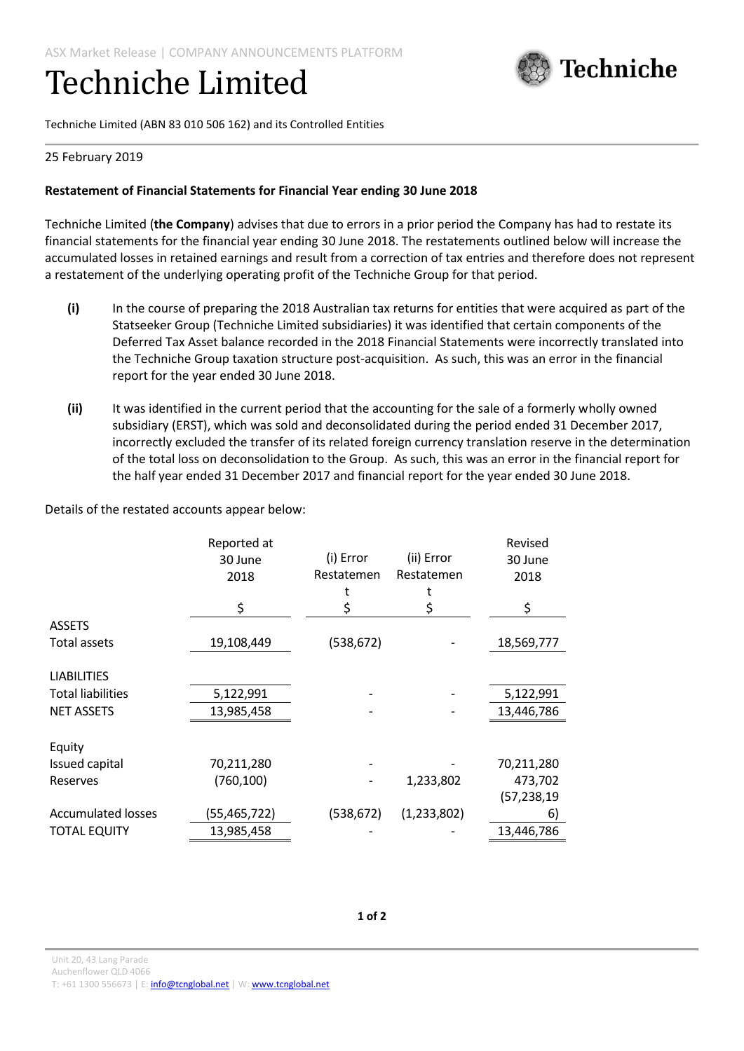# Techniche Limited



Techniche Limited (ABN 83 010 506 162) and its Controlled Entities

## 25 February 2019

## **Restatement of Financial Statements for Financial Year ending 30 June 2018**

Techniche Limited (**the Company**) advises that due to errors in a prior period the Company has had to restate its financial statements for the financial year ending 30 June 2018. The restatements outlined below will increase the accumulated losses in retained earnings and result from a correction of tax entries and therefore does not represent a restatement of the underlying operating profit of the Techniche Group for that period.

- **(i)** In the course of preparing the 2018 Australian tax returns for entities that were acquired as part of the Statseeker Group (Techniche Limited subsidiaries) it was identified that certain components of the Deferred Tax Asset balance recorded in the 2018 Financial Statements were incorrectly translated into the Techniche Group taxation structure post-acquisition. As such, this was an error in the financial report for the year ended 30 June 2018.
- **(ii)** It was identified in the current period that the accounting for the sale of a formerly wholly owned subsidiary (ERST), which was sold and deconsolidated during the period ended 31 December 2017, incorrectly excluded the transfer of its related foreign currency translation reserve in the determination of the total loss on deconsolidation to the Group. As such, this was an error in the financial report for the half year ended 31 December 2017 and financial report for the year ended 30 June 2018.

Details of the restated accounts appear below:

|                           | Reported at    |            |             | Revised       |
|---------------------------|----------------|------------|-------------|---------------|
|                           | 30 June        | (i) Error  | (ii) Error  | 30 June       |
|                           | 2018           | Restatemen | Restatemen  | 2018          |
|                           |                |            |             |               |
|                           | \$             |            |             | \$            |
| <b>ASSETS</b>             |                |            |             |               |
| Total assets              | 19,108,449     | (538,672)  |             | 18,569,777    |
| <b>LIABILITIES</b>        |                |            |             |               |
| <b>Total liabilities</b>  | 5,122,991      |            |             | 5,122,991     |
| <b>NET ASSETS</b>         | 13,985,458     |            |             | 13,446,786    |
|                           |                |            |             |               |
| Equity                    |                |            |             |               |
| Issued capital            | 70,211,280     |            |             | 70,211,280    |
| Reserves                  | (760, 100)     |            | 1,233,802   | 473,702       |
|                           |                |            |             | (57, 238, 19) |
| <b>Accumulated losses</b> | (55, 465, 722) | (538,672)  | (1,233,802) | 6)            |
| <b>TOTAL EQUITY</b>       | 13,985,458     |            |             | 13,446,786    |

Unit 20, 43 Lang Parade Auchenflower QLD 4066 T: +61 1300 556673 | E[: info@tcnglobal.net](mailto:info@tcnglobal.net) | W[: www.tcnglobal.net](http://www.tcnglobal.net/)